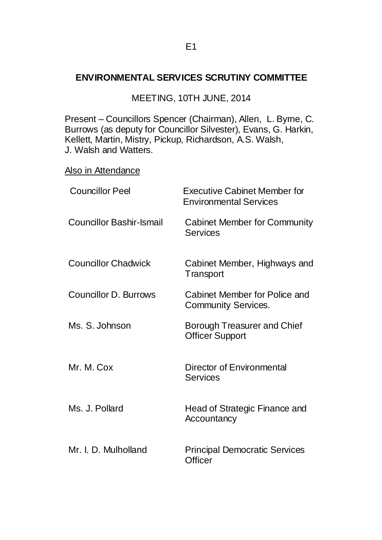#### E1

#### **ENVIRONMENTAL SERVICES SCRUTINY COMMITTEE**

MEETING, 10TH JUNE, 2014

Present – Councillors Spencer (Chairman), Allen, L. Byrne, C. Burrows (as deputy for Councillor Silvester), Evans, G. Harkin, Kellett, Martin, Mistry, Pickup, Richardson, A.S. Walsh, J. Walsh and Watters.

Also in Attendance

| <b>Councillor Peel</b>          | <b>Executive Cabinet Member for</b><br><b>Environmental Services</b> |
|---------------------------------|----------------------------------------------------------------------|
| <b>Councillor Bashir-Ismail</b> | <b>Cabinet Member for Community</b><br>Services                      |
| <b>Councillor Chadwick</b>      | Cabinet Member, Highways and<br>Transport                            |
| <b>Councillor D. Burrows</b>    | Cabinet Member for Police and<br><b>Community Services.</b>          |
| Ms. S. Johnson                  | Borough Treasurer and Chief<br><b>Officer Support</b>                |
| Mr. M. Cox                      | Director of Environmental<br><b>Services</b>                         |
| Ms. J. Pollard                  | Head of Strategic Finance and<br>Accountancy                         |
| Mr. I. D. Mulholland            | <b>Principal Democratic Services</b><br><b>Officer</b>               |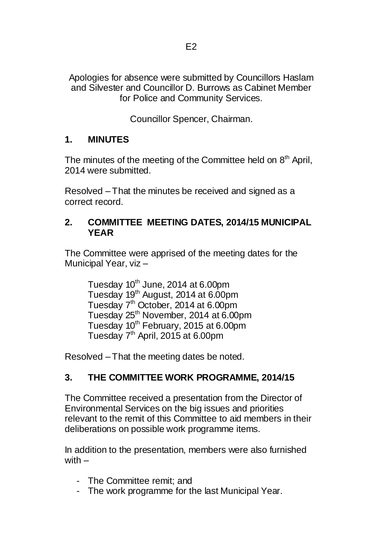Apologies for absence were submitted by Councillors Haslam and Silvester and Councillor D. Burrows as Cabinet Member for Police and Community Services.

Councillor Spencer, Chairman.

## **1. MINUTES**

The minutes of the meeting of the Committee held on  $8<sup>th</sup>$  April, 2014 were submitted.

Resolved – That the minutes be received and signed as a correct record.

#### **2. COMMITTEE MEETING DATES, 2014/15 MUNICIPAL YEAR**

The Committee were apprised of the meeting dates for the Municipal Year, viz –

Tuesday  $10<sup>th</sup>$  June, 2014 at 6.00pm Tuesday 19<sup>th</sup> August, 2014 at 6.00pm Tuesday 7<sup>th</sup> October, 2014 at 6.00pm Tuesday 25<sup>th</sup> November, 2014 at 6.00pm Tuesday 10<sup>th</sup> February, 2015 at 6.00pm Tuesday  $7<sup>th</sup>$  April, 2015 at 6.00pm

Resolved – That the meeting dates be noted.

# **3. THE COMMITTEE WORK PROGRAMME, 2014/15**

The Committee received a presentation from the Director of Environmental Services on the big issues and priorities relevant to the remit of this Committee to aid members in their deliberations on possible work programme items.

In addition to the presentation, members were also furnished with  $-$ 

- The Committee remit; and
- The work programme for the last Municipal Year.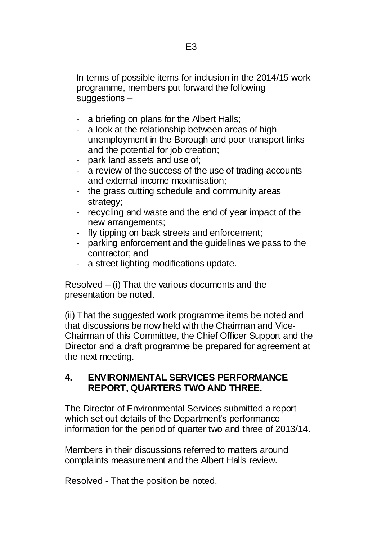In terms of possible items for inclusion in the 2014/15 work programme, members put forward the following suggestions –

- a briefing on plans for the Albert Halls;
- a look at the relationship between areas of high unemployment in the Borough and poor transport links and the potential for job creation;
- park land assets and use of;
- a review of the success of the use of trading accounts and external income maximisation;
- the grass cutting schedule and community areas strategy;
- recycling and waste and the end of year impact of the new arrangements;
- fly tipping on back streets and enforcement;
- parking enforcement and the guidelines we pass to the contractor; and
- a street lighting modifications update.

Resolved – (i) That the various documents and the presentation be noted.

(ii) That the suggested work programme items be noted and that discussions be now held with the Chairman and Vice-Chairman of this Committee, the Chief Officer Support and the Director and a draft programme be prepared for agreement at the next meeting.

#### **4. ENVIRONMENTAL SERVICES PERFORMANCE REPORT, QUARTERS TWO AND THREE.**

The Director of Environmental Services submitted a report which set out details of the Department's performance information for the period of quarter two and three of 2013/14.

Members in their discussions referred to matters around complaints measurement and the Albert Halls review.

Resolved - That the position be noted.